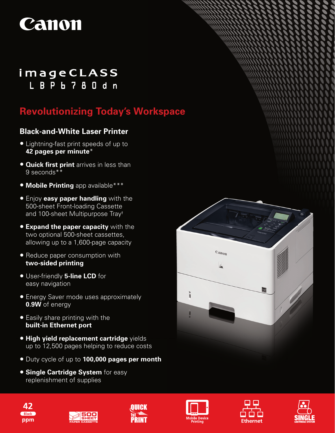

# imageCLASS L B P b 7 8 0 d n

# **Revolutionizing Today's Workspace**

## **Black-and-White Laser Printer**

- Lightning-fast print speeds of up to **42 pages per minute**\*
- **Quick first print** arrives in less than 9 seconds\*\*
- **Mobile Printing** app available\*\*\*
- Enjoy **easy paper handling** with the 500-sheet Front-loading Cassette and 100-sheet Multipurpose Tray†
- **Expand the paper capacity** with the two optional 500-sheet cassettes, allowing up to a 1,600-page capacity
- Reduce paper consumption with **two-sided printing**
- User-friendly **5-line LCD** for easy navigation
- Energy Saver mode uses approximately **0.9W** of energy
- Easily share printing with the **built-in Ethernet port**
- • **High yield replacement cartridge** yields up to 12,500 pages helping to reduce costs
- Duty cycle of up to **100,000 pages per month**
- **Single Cartridge System** for easy replenishment of supplies